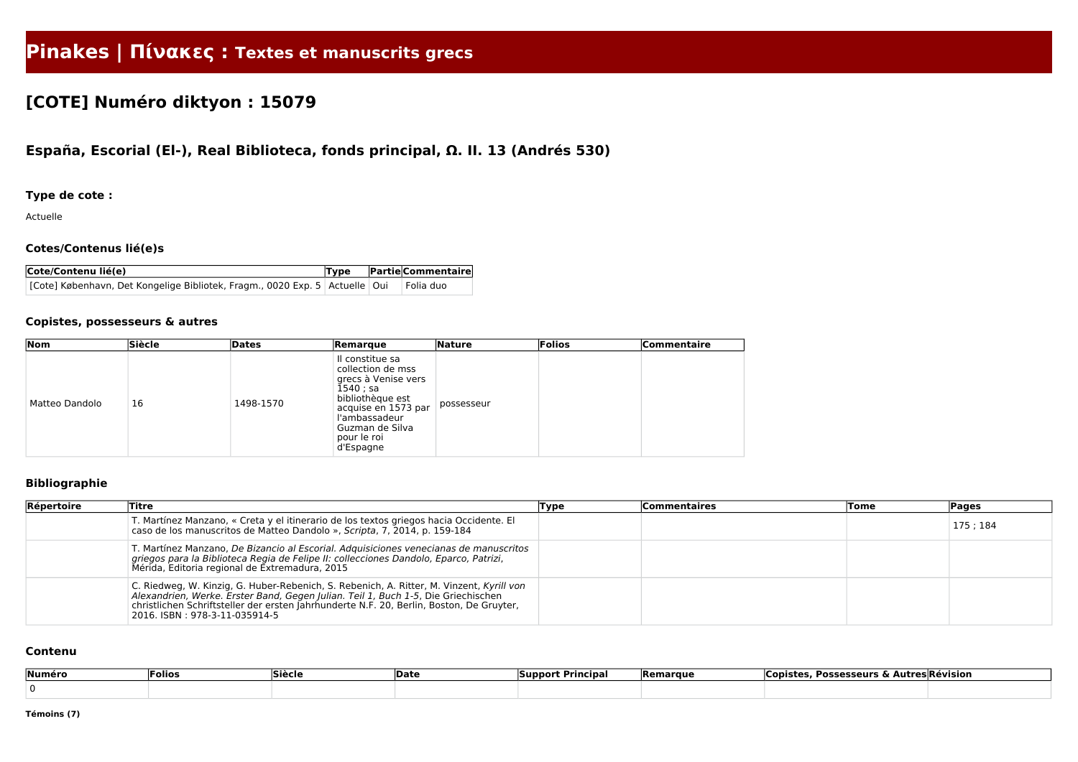# **Pinakes | Πίνακες : Textes et manuscrits grecs**

## **[COTE] Numéro diktyon : 15079**

### **España, Escorial (El-), Real Biblioteca, fonds principal, Ω. II. 13 (Andrés 530)**

### **Type de cote :**

Actuelle

#### **Cotes/Contenus lié(e)s**

| Cote/Contenu lié(e)                                                                         |  | $ Type $ Partie Commentaire |
|---------------------------------------------------------------------------------------------|--|-----------------------------|
| [Cote] København, Det Kongelige Bibliotek, Fragm., 0020 Exp. 5   Actuelle   Oui   Folia duo |  |                             |

#### **Copistes, possesseurs & autres**

| $\sqrt{N}$     | <b>Siècle</b> | Dates     | Remarque                                                                                                                                                                             | <b>Nature</b> | Folios | <b>Commentaire</b> |
|----------------|---------------|-----------|--------------------------------------------------------------------------------------------------------------------------------------------------------------------------------------|---------------|--------|--------------------|
| Matteo Dandolo | 16            | 1498-1570 | Il constitue sa<br>collection de mss<br>grecs à Venise vers<br>$1540;$ sa<br>bibliothèque est<br>acquise en 1573 par<br>l'ambassadeur<br>Guzman de Silva<br>pour le roi<br>d'Espagne | possesseur    |        |                    |

### **Bibliographie**

| Répertoire | Titre                                                                                                                                                                                                                                                                                                      | Type | <b>Commentaires</b> | Tome | <b>Pages</b> |
|------------|------------------------------------------------------------------------------------------------------------------------------------------------------------------------------------------------------------------------------------------------------------------------------------------------------------|------|---------------------|------|--------------|
|            | T. Martínez Manzano, « Creta y el itinerario de los textos griegos hacia Occidente. El<br>caso de los manuscritos de Matteo Dandolo », Scripta, 7, 2014, p. 159-184                                                                                                                                        |      |                     |      | 175; 184     |
|            | T. Martínez Manzano, De Bizancio al Escorial. Adquisiciones venecianas de manuscritos<br>griegos para la Biblioteca Regia de Felipe II: collecciones Dandolo, Eparco, Patrizi,<br>Mérida, Editoria regional de Extremadura, 2015                                                                           |      |                     |      |              |
|            | C. Riedweg, W. Kinzig, G. Huber-Rebenich, S. Rebenich, A. Ritter, M. Vinzent, Kyrill von<br>Alexandrien, Werke. Erster Band, Gegen Julian. Teil 1, Buch 1-5, Die Griechischen<br>christlichen Schriftsteller der ersten Jahrhunderte N.F. 20, Berlin, Boston, De Gruyter,<br>2016. ISBN: 978-3-11-035914-5 |      |                     |      |              |

#### **Contenu**

| Numéro | Folios | Siècle | Date | * Principa.<br><b>Suppor</b> | <b>Remarque</b> | <b>Possesseurs &amp; Autres Révision</b><br>Copistes, ' |  |
|--------|--------|--------|------|------------------------------|-----------------|---------------------------------------------------------|--|
|        |        |        |      |                              |                 |                                                         |  |